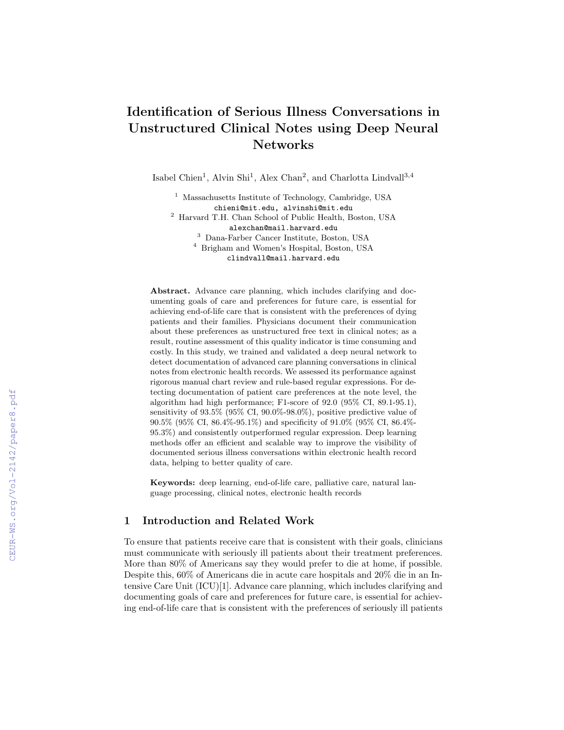# Identification of Serious Illness Conversations in Unstructured Clinical Notes using Deep Neural Networks

Isabel Chien<sup>1</sup>, Alvin Shi<sup>1</sup>, Alex Chan<sup>2</sup>, and Charlotta Lindvall<sup>3,4</sup>

<sup>1</sup> Massachusetts Institute of Technology, Cambridge, USA chieni@mit.edu, alvinshi@mit.edu

<sup>2</sup> Harvard T.H. Chan School of Public Health, Boston, USA alexchan@mail.harvard.edu

<sup>3</sup> Dana-Farber Cancer Institute, Boston, USA

<sup>4</sup> Brigham and Women's Hospital, Boston, USA

clindvall@mail.harvard.edu

Abstract. Advance care planning, which includes clarifying and documenting goals of care and preferences for future care, is essential for achieving end-of-life care that is consistent with the preferences of dying patients and their families. Physicians document their communication about these preferences as unstructured free text in clinical notes; as a result, routine assessment of this quality indicator is time consuming and costly. In this study, we trained and validated a deep neural network to detect documentation of advanced care planning conversations in clinical notes from electronic health records. We assessed its performance against rigorous manual chart review and rule-based regular expressions. For detecting documentation of patient care preferences at the note level, the algorithm had high performance; F1-score of 92.0 (95% CI, 89.1-95.1), sensitivity of 93.5% (95% CI, 90.0%-98.0%), positive predictive value of 90.5% (95% CI, 86.4%-95.1%) and specificity of 91.0% (95% CI, 86.4%- 95.3%) and consistently outperformed regular expression. Deep learning methods offer an efficient and scalable way to improve the visibility of documented serious illness conversations within electronic health record data, helping to better quality of care.

Keywords: deep learning, end-of-life care, palliative care, natural language processing, clinical notes, electronic health records

## 1 Introduction and Related Work

To ensure that patients receive care that is consistent with their goals, clinicians must communicate with seriously ill patients about their treatment preferences. More than 80% of Americans say they would prefer to die at home, if possible. Despite this, 60% of Americans die in acute care hospitals and 20% die in an Intensive Care Unit (ICU)[1]. Advance care planning, which includes clarifying and documenting goals of care and preferences for future care, is essential for achieving end-of-life care that is consistent with the preferences of seriously ill patients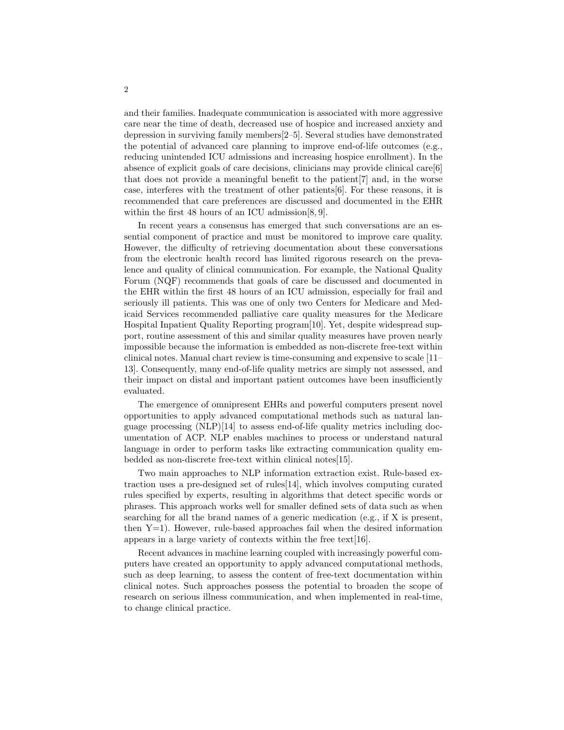and their families. Inadequate communication is associated with more aggressive care near the time of death, decreased use of hospice and increased anxiety and depression in surviving family members[2–5]. Several studies have demonstrated the potential of advanced care planning to improve end-of-life outcomes (e.g., reducing unintended ICU admissions and increasing hospice enrollment). In the absence of explicit goals of care decisions, clinicians may provide clinical care[6] that does not provide a meaningful benefit to the patient[7] and, in the worse case, interferes with the treatment of other patients[6]. For these reasons, it is recommended that care preferences are discussed and documented in the EHR within the first 48 hours of an ICU admission[8, 9].

In recent years a consensus has emerged that such conversations are an essential component of practice and must be monitored to improve care quality. However, the difficulty of retrieving documentation about these conversations from the electronic health record has limited rigorous research on the prevalence and quality of clinical communication. For example, the National Quality Forum (NQF) recommends that goals of care be discussed and documented in the EHR within the first 48 hours of an ICU admission, especially for frail and seriously ill patients. This was one of only two Centers for Medicare and Medicaid Services recommended palliative care quality measures for the Medicare Hospital Inpatient Quality Reporting program[10]. Yet, despite widespread support, routine assessment of this and similar quality measures have proven nearly impossible because the information is embedded as non-discrete free-text within clinical notes. Manual chart review is time-consuming and expensive to scale [11– 13]. Consequently, many end-of-life quality metrics are simply not assessed, and their impact on distal and important patient outcomes have been insufficiently evaluated.

The emergence of omnipresent EHRs and powerful computers present novel opportunities to apply advanced computational methods such as natural language processing (NLP)[14] to assess end-of-life quality metrics including documentation of ACP. NLP enables machines to process or understand natural language in order to perform tasks like extracting communication quality embedded as non-discrete free-text within clinical notes[15].

Two main approaches to NLP information extraction exist. Rule-based extraction uses a pre-designed set of rules[14], which involves computing curated rules specified by experts, resulting in algorithms that detect specific words or phrases. This approach works well for smaller defined sets of data such as when searching for all the brand names of a generic medication (e.g., if X is present, then  $Y=1$ ). However, rule-based approaches fail when the desired information appears in a large variety of contexts within the free text[16].

Recent advances in machine learning coupled with increasingly powerful computers have created an opportunity to apply advanced computational methods, such as deep learning, to assess the content of free-text documentation within clinical notes. Such approaches possess the potential to broaden the scope of research on serious illness communication, and when implemented in real-time, to change clinical practice.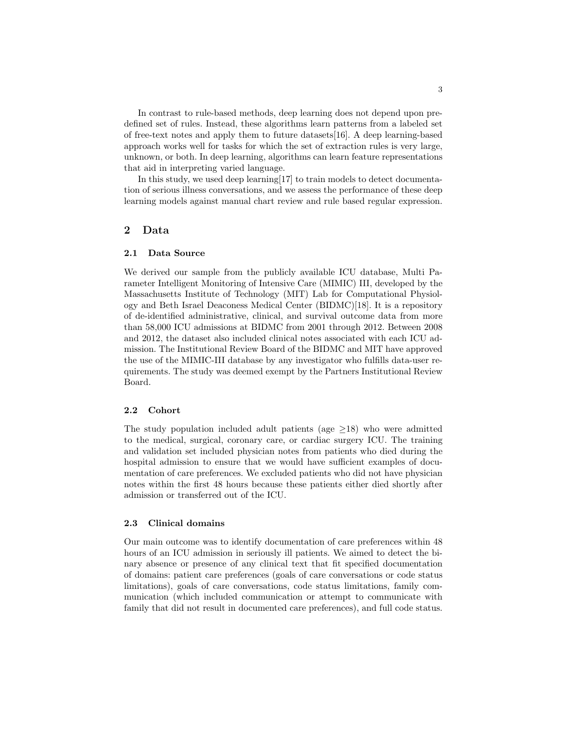In contrast to rule-based methods, deep learning does not depend upon predefined set of rules. Instead, these algorithms learn patterns from a labeled set of free-text notes and apply them to future datasets[16]. A deep learning-based approach works well for tasks for which the set of extraction rules is very large, unknown, or both. In deep learning, algorithms can learn feature representations that aid in interpreting varied language.

In this study, we used deep learning[17] to train models to detect documentation of serious illness conversations, and we assess the performance of these deep learning models against manual chart review and rule based regular expression.

## 2 Data

#### 2.1 Data Source

We derived our sample from the publicly available ICU database, Multi Parameter Intelligent Monitoring of Intensive Care (MIMIC) III, developed by the Massachusetts Institute of Technology (MIT) Lab for Computational Physiology and Beth Israel Deaconess Medical Center (BIDMC)[18]. It is a repository of de-identified administrative, clinical, and survival outcome data from more than 58,000 ICU admissions at BIDMC from 2001 through 2012. Between 2008 and 2012, the dataset also included clinical notes associated with each ICU admission. The Institutional Review Board of the BIDMC and MIT have approved the use of the MIMIC-III database by any investigator who fulfills data-user requirements. The study was deemed exempt by the Partners Institutional Review Board.

#### 2.2 Cohort

The study population included adult patients (age  $\geq$ 18) who were admitted to the medical, surgical, coronary care, or cardiac surgery ICU. The training and validation set included physician notes from patients who died during the hospital admission to ensure that we would have sufficient examples of documentation of care preferences. We excluded patients who did not have physician notes within the first 48 hours because these patients either died shortly after admission or transferred out of the ICU.

#### 2.3 Clinical domains

Our main outcome was to identify documentation of care preferences within 48 hours of an ICU admission in seriously ill patients. We aimed to detect the binary absence or presence of any clinical text that fit specified documentation of domains: patient care preferences (goals of care conversations or code status limitations), goals of care conversations, code status limitations, family communication (which included communication or attempt to communicate with family that did not result in documented care preferences), and full code status.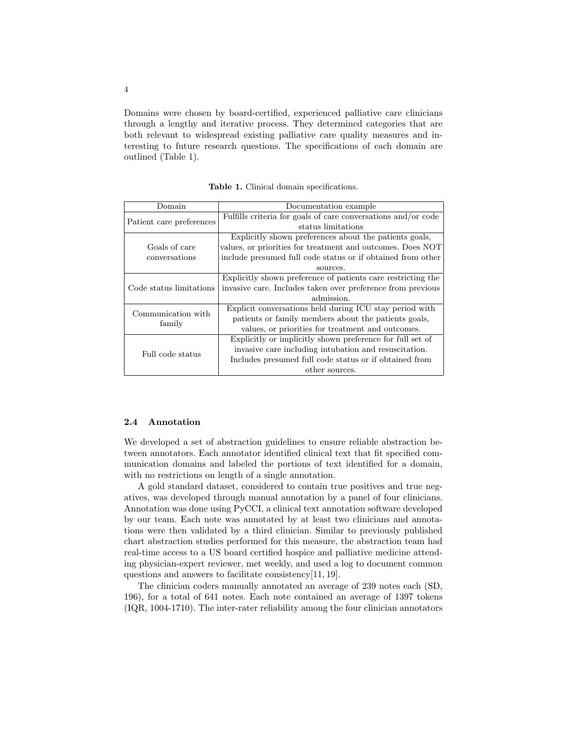Domains were chosen by board-certified, experienced palliative care clinicians through a lengthy and iterative process. They determined categories that are both relevant to widespread existing palliative care quality measures and interesting to future research questions. The specifications of each domain are outlined (Table 1).

| Domain                   | Documentation example                                         |  |  |
|--------------------------|---------------------------------------------------------------|--|--|
| Patient care preferences | Fulfills criteria for goals of care conversations and/or code |  |  |
|                          | status limitations                                            |  |  |
|                          | Explicitly shown preferences about the patients goals,        |  |  |
| Goals of care            | values, or priorities for treatment and outcomes. Does NOT    |  |  |
| conversations            | include presumed full code status or if obtained from other   |  |  |
|                          | sources.                                                      |  |  |
|                          | Explicitly shown preference of patients care restricting the  |  |  |
| Code status limitations  | invasive care. Includes taken over preference from previous   |  |  |
|                          | admission.                                                    |  |  |
| Communication with       | Explicit conversations held during ICU stay period with       |  |  |
|                          | patients or family members about the patients goals,          |  |  |
| family                   | values, or priorities for treatment and outcomes.             |  |  |
|                          | Explicitly or implicitly shown preference for full set of     |  |  |
| Full code status         | invasive care including intubation and resuscitation.         |  |  |
|                          | Includes presumed full code status or if obtained from        |  |  |
|                          | other sources.                                                |  |  |

Table 1. Clinical domain specifications.

#### 2.4 Annotation

We developed a set of abstraction guidelines to ensure reliable abstraction between annotators. Each annotator identified clinical text that fit specified communication domains and labeled the portions of text identified for a domain, with no restrictions on length of a single annotation.

A gold standard dataset, considered to contain true positives and true negatives, was developed through manual annotation by a panel of four clinicians. Annotation was done using PyCCI, a clinical text annotation software developed by our team. Each note was annotated by at least two clinicians and annotations were then validated by a third clinician. Similar to previously published chart abstraction studies performed for this measure, the abstraction team had real-time access to a US board certified hospice and palliative medicine attending physician-expert reviewer, met weekly, and used a log to document common questions and answers to facilitate consistency[11, 19].

The clinician coders manually annotated an average of 239 notes each (SD, 196), for a total of 641 notes. Each note contained an average of 1397 tokens (IQR, 1004-1710). The inter-rater reliability among the four clinician annotators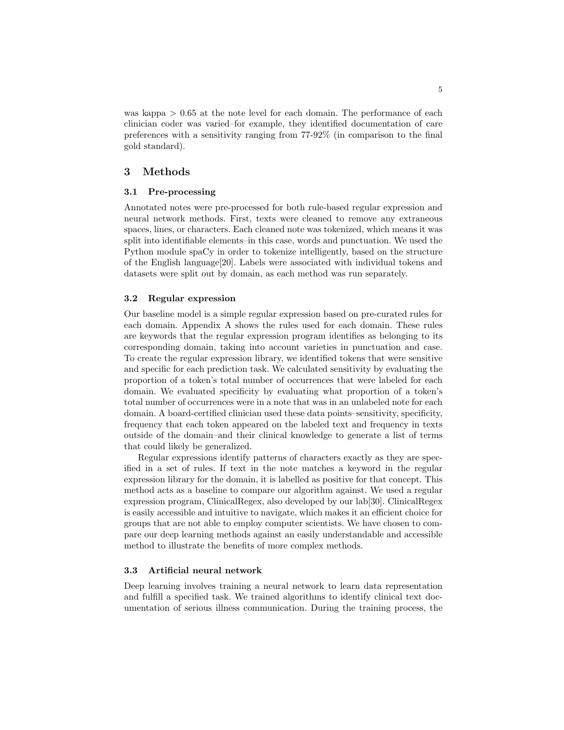was kappa  $> 0.65$  at the note level for each domain. The performance of each clinician coder was varied–for example, they identified documentation of care preferences with a sensitivity ranging from 77-92% (in comparison to the final gold standard).

## 3 Methods

#### 3.1 Pre-processing

Annotated notes were pre-processed for both rule-based regular expression and neural network methods. First, texts were cleaned to remove any extraneous spaces, lines, or characters. Each cleaned note was tokenized, which means it was split into identifiable elements–in this case, words and punctuation. We used the Python module spaCy in order to tokenize intelligently, based on the structure of the English language[20]. Labels were associated with individual tokens and datasets were split out by domain, as each method was run separately.

#### 3.2 Regular expression

Our baseline model is a simple regular expression based on pre-curated rules for each domain. Appendix A shows the rules used for each domain. These rules are keywords that the regular expression program identifies as belonging to its corresponding domain, taking into account varieties in punctuation and case. To create the regular expression library, we identified tokens that were sensitive and specific for each prediction task. We calculated sensitivity by evaluating the proportion of a token's total number of occurrences that were labeled for each domain. We evaluated specificity by evaluating what proportion of a token's total number of occurrences were in a note that was in an unlabeled note for each domain. A board-certified clinician used these data points–sensitivity, specificity, frequency that each token appeared on the labeled text and frequency in texts outside of the domain–and their clinical knowledge to generate a list of terms that could likely be generalized.

Regular expressions identify patterns of characters exactly as they are specified in a set of rules. If text in the note matches a keyword in the regular expression library for the domain, it is labelled as positive for that concept. This method acts as a baseline to compare our algorithm against. We used a regular expression program, ClinicalRegex, also developed by our lab[30]. ClinicalRegex is easily accessible and intuitive to navigate, which makes it an efficient choice for groups that are not able to employ computer scientists. We have chosen to compare our deep learning methods against an easily understandable and accessible method to illustrate the benefits of more complex methods.

#### 3.3 Artificial neural network

Deep learning involves training a neural network to learn data representation and fulfill a specified task. We trained algorithms to identify clinical text documentation of serious illness communication. During the training process, the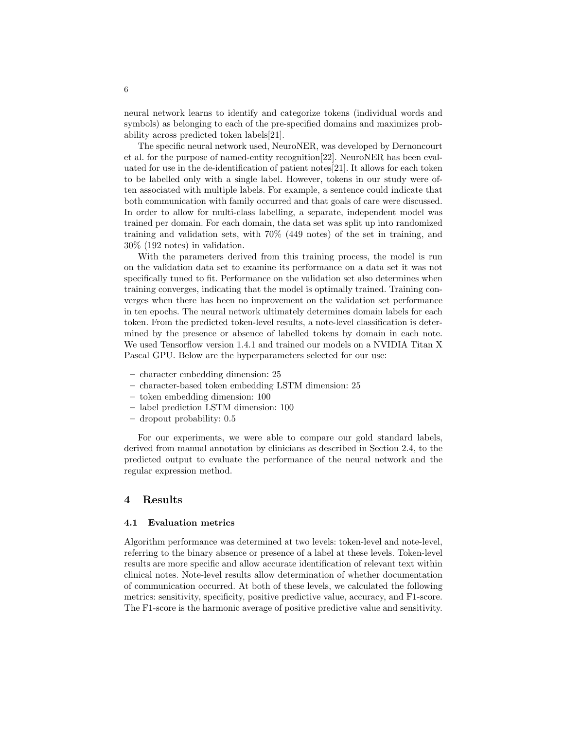neural network learns to identify and categorize tokens (individual words and symbols) as belonging to each of the pre-specified domains and maximizes probability across predicted token labels[21].

The specific neural network used, NeuroNER, was developed by Dernoncourt et al. for the purpose of named-entity recognition[22]. NeuroNER has been evaluated for use in the de-identification of patient notes[21]. It allows for each token to be labelled only with a single label. However, tokens in our study were often associated with multiple labels. For example, a sentence could indicate that both communication with family occurred and that goals of care were discussed. In order to allow for multi-class labelling, a separate, independent model was trained per domain. For each domain, the data set was split up into randomized training and validation sets, with 70% (449 notes) of the set in training, and 30% (192 notes) in validation.

With the parameters derived from this training process, the model is run on the validation data set to examine its performance on a data set it was not specifically tuned to fit. Performance on the validation set also determines when training converges, indicating that the model is optimally trained. Training converges when there has been no improvement on the validation set performance in ten epochs. The neural network ultimately determines domain labels for each token. From the predicted token-level results, a note-level classification is determined by the presence or absence of labelled tokens by domain in each note. We used Tensorflow version 1.4.1 and trained our models on a NVIDIA Titan X Pascal GPU. Below are the hyperparameters selected for our use:

- character embedding dimension: 25
- character-based token embedding LSTM dimension: 25
- token embedding dimension: 100
- label prediction LSTM dimension: 100
- dropout probability: 0.5

For our experiments, we were able to compare our gold standard labels, derived from manual annotation by clinicians as described in Section 2.4, to the predicted output to evaluate the performance of the neural network and the regular expression method.

## 4 Results

#### 4.1 Evaluation metrics

Algorithm performance was determined at two levels: token-level and note-level, referring to the binary absence or presence of a label at these levels. Token-level results are more specific and allow accurate identification of relevant text within clinical notes. Note-level results allow determination of whether documentation of communication occurred. At both of these levels, we calculated the following metrics: sensitivity, specificity, positive predictive value, accuracy, and F1-score. The F1-score is the harmonic average of positive predictive value and sensitivity.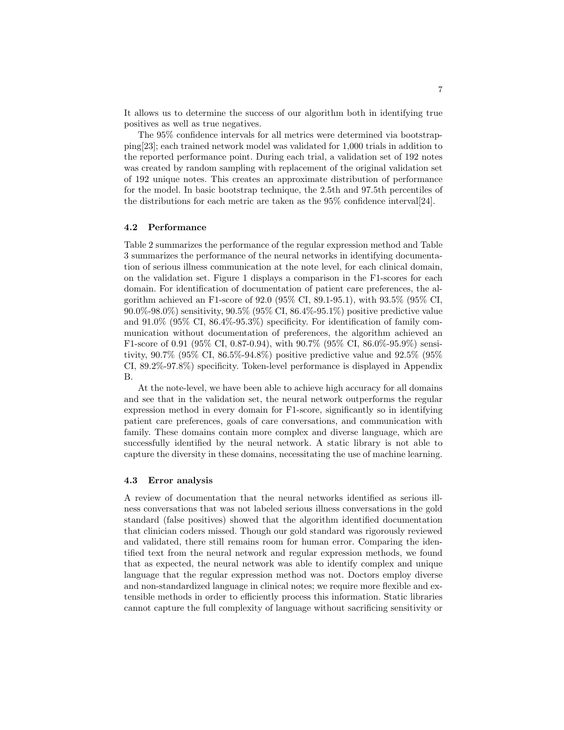It allows us to determine the success of our algorithm both in identifying true positives as well as true negatives.

The 95% confidence intervals for all metrics were determined via bootstrapping[23]; each trained network model was validated for 1,000 trials in addition to the reported performance point. During each trial, a validation set of 192 notes was created by random sampling with replacement of the original validation set of 192 unique notes. This creates an approximate distribution of performance for the model. In basic bootstrap technique, the 2.5th and 97.5th percentiles of the distributions for each metric are taken as the 95% confidence interval[24].

## 4.2 Performance

Table 2 summarizes the performance of the regular expression method and Table 3 summarizes the performance of the neural networks in identifying documentation of serious illness communication at the note level, for each clinical domain, on the validation set. Figure 1 displays a comparison in the F1-scores for each domain. For identification of documentation of patient care preferences, the algorithm achieved an F1-score of 92.0 (95% CI, 89.1-95.1), with 93.5% (95% CI, 90.0%-98.0%) sensitivity, 90.5% (95% CI, 86.4%-95.1%) positive predictive value and 91.0% (95% CI, 86.4%-95.3%) specificity. For identification of family communication without documentation of preferences, the algorithm achieved an F1-score of 0.91 (95% CI, 0.87-0.94), with 90.7% (95% CI, 86.0%-95.9%) sensitivity, 90.7% (95% CI, 86.5%-94.8%) positive predictive value and 92.5% (95% CI, 89.2%-97.8%) specificity. Token-level performance is displayed in Appendix B.

At the note-level, we have been able to achieve high accuracy for all domains and see that in the validation set, the neural network outperforms the regular expression method in every domain for F1-score, significantly so in identifying patient care preferences, goals of care conversations, and communication with family. These domains contain more complex and diverse language, which are successfully identified by the neural network. A static library is not able to capture the diversity in these domains, necessitating the use of machine learning.

#### 4.3 Error analysis

A review of documentation that the neural networks identified as serious illness conversations that was not labeled serious illness conversations in the gold standard (false positives) showed that the algorithm identified documentation that clinician coders missed. Though our gold standard was rigorously reviewed and validated, there still remains room for human error. Comparing the identified text from the neural network and regular expression methods, we found that as expected, the neural network was able to identify complex and unique language that the regular expression method was not. Doctors employ diverse and non-standardized language in clinical notes; we require more flexible and extensible methods in order to efficiently process this information. Static libraries cannot capture the full complexity of language without sacrificing sensitivity or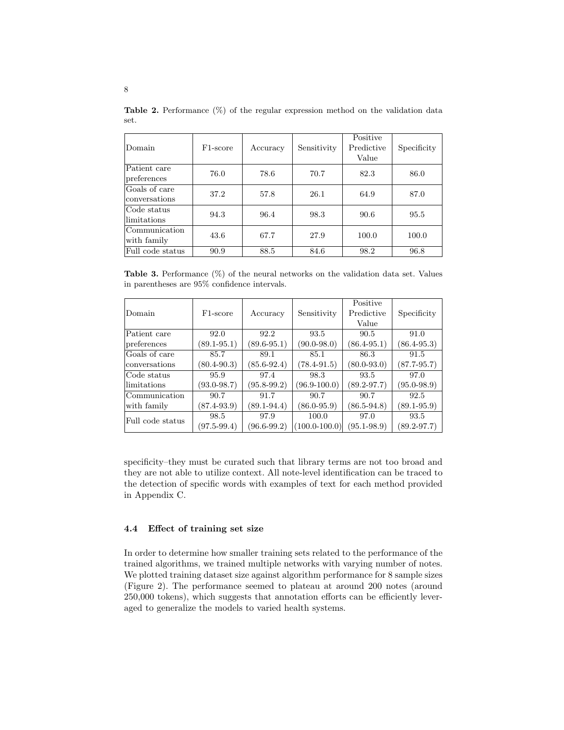| Domain                         | F <sub>1</sub> -score | Accuracy | Sensitivity | Positive<br>Predictive<br>Value | Specificity |
|--------------------------------|-----------------------|----------|-------------|---------------------------------|-------------|
| Patient care<br>preferences    | 76.0                  | 78.6     | 70.7        | 82.3                            | 86.0        |
| Goals of care<br>conversations | 37.2                  | 57.8     | 26.1        | 64.9                            | 87.0        |
| Code status<br>limitations     | 94.3                  | 96.4     | 98.3        | 90.6                            | 95.5        |
| Communication<br>with family   | 43.6                  | 67.7     | 27.9        | 100.0                           | 100.0       |
| Full code status               | 90.9                  | 88.5     | 84.6        | 98.2                            | 96.8        |

Table 2. Performance (%) of the regular expression method on the validation data set.

Table 3. Performance  $(\%)$  of the neural networks on the validation data set. Values in parentheses are 95% confidence intervals.

|                  |                       |                 |                   | Positive        |                 |
|------------------|-----------------------|-----------------|-------------------|-----------------|-----------------|
| Domain           | F <sub>1</sub> -score | Accuracy        | Sensitivity       | Predictive      | Specificity     |
|                  |                       |                 |                   | Value           |                 |
| Patient care     | 92.0                  | 92.2            | 93.5              | 90.5            | 91.0            |
| preferences      | $(89.1 - 95.1)$       | $(89.6 - 95.1)$ | $(90.0 - 98.0)$   | $(86.4 - 95.1)$ | $(86.4 - 95.3)$ |
| Goals of care    | 85.7                  | 89.1            | 85.1              | 86.3            | 91.5            |
| conversations    | $(80.4 - 90.3)$       | $(85.6 - 92.4)$ | $(78.4 - 91.5)$   | $(80.0 - 93.0)$ | $(87.7 - 95.7)$ |
| Code status      | 95.9                  | 97.4            | 98.3              | 93.5            | 97.0            |
| limitations      | $(93.0 - 98.7)$       | $(95.8 - 99.2)$ | $(96.9 - 100.0)$  | $(89.2 - 97.7)$ | $(95.0 - 98.9)$ |
| Communication    | 90.7                  | 91.7            | 90.7              | 90.7            | 92.5            |
| with family      | $(87.4 - 93.9)$       | $(89.1 - 94.4)$ | $(86.0 - 95.9)$   | $(86.5 - 94.8)$ | $(89.1 - 95.9)$ |
| Full code status | 98.5                  | 97.9            | 100.0             | 97.0            | 93.5            |
|                  | $(97.5 - 99.4)$       | $(96.6 - 99.2)$ | $(100.0 - 100.0)$ | $(95.1 - 98.9)$ | $(89.2 - 97.7)$ |

specificity–they must be curated such that library terms are not too broad and they are not able to utilize context. All note-level identification can be traced to the detection of specific words with examples of text for each method provided in Appendix C.

## 4.4 Effect of training set size

In order to determine how smaller training sets related to the performance of the trained algorithms, we trained multiple networks with varying number of notes. We plotted training dataset size against algorithm performance for 8 sample sizes (Figure 2). The performance seemed to plateau at around 200 notes (around 250,000 tokens), which suggests that annotation efforts can be efficiently leveraged to generalize the models to varied health systems.

8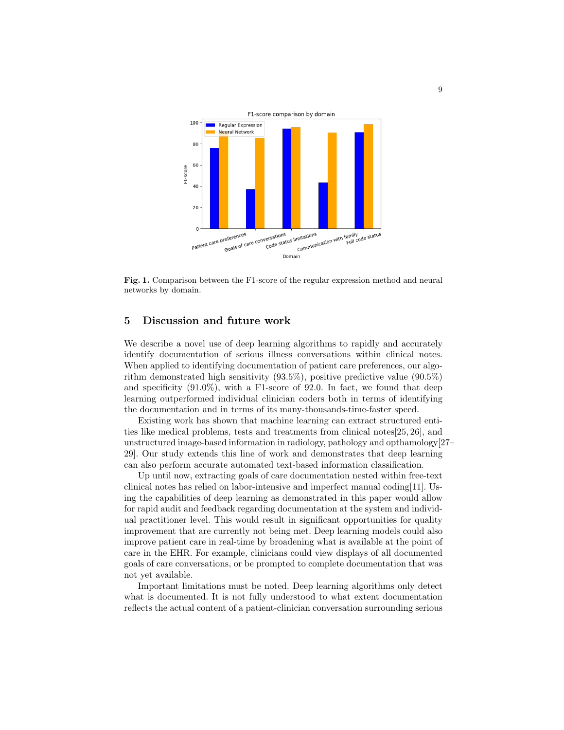

Fig. 1. Comparison between the F1-score of the regular expression method and neural networks by domain.

## 5 Discussion and future work

We describe a novel use of deep learning algorithms to rapidly and accurately identify documentation of serious illness conversations within clinical notes. When applied to identifying documentation of patient care preferences, our algorithm demonstrated high sensitivity  $(93.5\%)$ , positive predictive value  $(90.5\%)$ and specificity (91.0%), with a F1-score of 92.0. In fact, we found that deep learning outperformed individual clinician coders both in terms of identifying the documentation and in terms of its many-thousands-time-faster speed.

Existing work has shown that machine learning can extract structured entities like medical problems, tests and treatments from clinical notes[25, 26], and unstructured image-based information in radiology, pathology and opthamology[27– 29]. Our study extends this line of work and demonstrates that deep learning can also perform accurate automated text-based information classification.

Up until now, extracting goals of care documentation nested within free-text clinical notes has relied on labor-intensive and imperfect manual coding[11]. Using the capabilities of deep learning as demonstrated in this paper would allow for rapid audit and feedback regarding documentation at the system and individual practitioner level. This would result in significant opportunities for quality improvement that are currently not being met. Deep learning models could also improve patient care in real-time by broadening what is available at the point of care in the EHR. For example, clinicians could view displays of all documented goals of care conversations, or be prompted to complete documentation that was not yet available.

Important limitations must be noted. Deep learning algorithms only detect what is documented. It is not fully understood to what extent documentation reflects the actual content of a patient-clinician conversation surrounding serious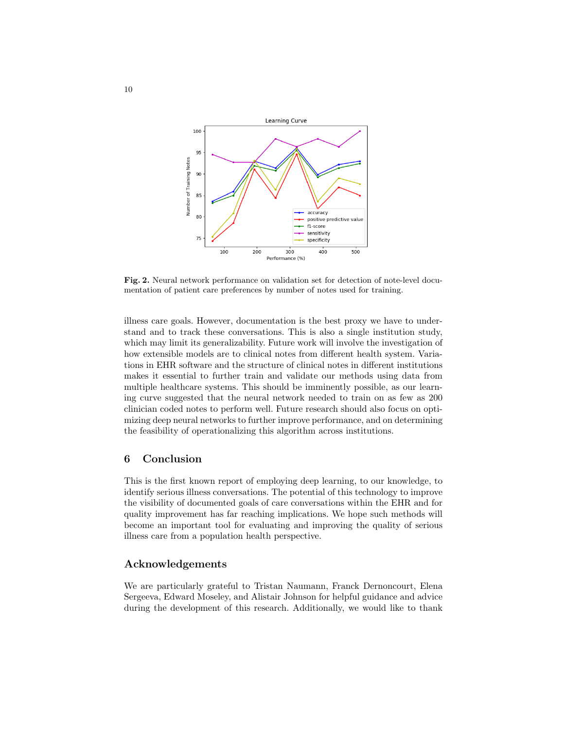

Fig. 2. Neural network performance on validation set for detection of note-level documentation of patient care preferences by number of notes used for training.

illness care goals. However, documentation is the best proxy we have to understand and to track these conversations. This is also a single institution study, which may limit its generalizability. Future work will involve the investigation of how extensible models are to clinical notes from different health system. Variations in EHR software and the structure of clinical notes in different institutions makes it essential to further train and validate our methods using data from multiple healthcare systems. This should be imminently possible, as our learning curve suggested that the neural network needed to train on as few as 200 clinician coded notes to perform well. Future research should also focus on optimizing deep neural networks to further improve performance, and on determining the feasibility of operationalizing this algorithm across institutions.

## 6 Conclusion

This is the first known report of employing deep learning, to our knowledge, to identify serious illness conversations. The potential of this technology to improve the visibility of documented goals of care conversations within the EHR and for quality improvement has far reaching implications. We hope such methods will become an important tool for evaluating and improving the quality of serious illness care from a population health perspective.

## Acknowledgements

We are particularly grateful to Tristan Naumann, Franck Dernoncourt, Elena Sergeeva, Edward Moseley, and Alistair Johnson for helpful guidance and advice during the development of this research. Additionally, we would like to thank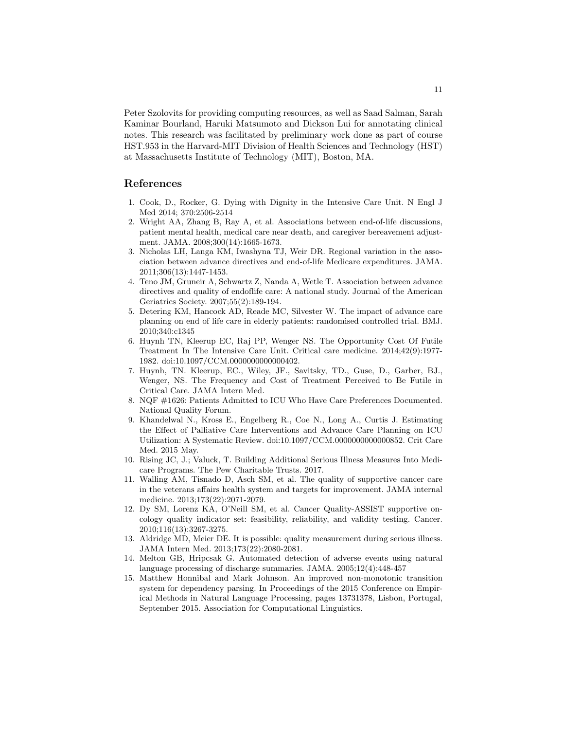Peter Szolovits for providing computing resources, as well as Saad Salman, Sarah Kaminar Bourland, Haruki Matsumoto and Dickson Lui for annotating clinical notes. This research was facilitated by preliminary work done as part of course HST.953 in the Harvard-MIT Division of Health Sciences and Technology (HST) at Massachusetts Institute of Technology (MIT), Boston, MA.

## References

- 1. Cook, D., Rocker, G. Dying with Dignity in the Intensive Care Unit. N Engl J Med 2014; 370:2506-2514
- 2. Wright AA, Zhang B, Ray A, et al. Associations between end-of-life discussions, patient mental health, medical care near death, and caregiver bereavement adjustment. JAMA. 2008;300(14):1665-1673.
- 3. Nicholas LH, Langa KM, Iwashyna TJ, Weir DR. Regional variation in the association between advance directives and end-of-life Medicare expenditures. JAMA. 2011;306(13):1447-1453.
- 4. Teno JM, Gruneir A, Schwartz Z, Nanda A, Wetle T. Association between advance directives and quality of endoflife care: A national study. Journal of the American Geriatrics Society. 2007;55(2):189-194.
- 5. Detering KM, Hancock AD, Reade MC, Silvester W. The impact of advance care planning on end of life care in elderly patients: randomised controlled trial. BMJ. 2010;340:c1345
- 6. Huynh TN, Kleerup EC, Raj PP, Wenger NS. The Opportunity Cost Of Futile Treatment In The Intensive Care Unit. Critical care medicine. 2014;42(9):1977- 1982. doi:10.1097/CCM.0000000000000402.
- 7. Huynh, TN. Kleerup, EC., Wiley, JF., Savitsky, TD., Guse, D., Garber, BJ., Wenger, NS. The Frequency and Cost of Treatment Perceived to Be Futile in Critical Care. JAMA Intern Med.
- 8. NQF #1626: Patients Admitted to ICU Who Have Care Preferences Documented. National Quality Forum.
- 9. Khandelwal N., Kross E., Engelberg R., Coe N., Long A., Curtis J. Estimating the Effect of Palliative Care Interventions and Advance Care Planning on ICU Utilization: A Systematic Review. doi:10.1097/CCM.0000000000000852. Crit Care Med. 2015 May.
- 10. Rising JC, J.; Valuck, T. Building Additional Serious Illness Measures Into Medicare Programs. The Pew Charitable Trusts. 2017.
- 11. Walling AM, Tisnado D, Asch SM, et al. The quality of supportive cancer care in the veterans affairs health system and targets for improvement. JAMA internal medicine. 2013;173(22):2071-2079.
- 12. Dy SM, Lorenz KA, O'Neill SM, et al. Cancer Quality-ASSIST supportive oncology quality indicator set: feasibility, reliability, and validity testing. Cancer. 2010;116(13):3267-3275.
- 13. Aldridge MD, Meier DE. It is possible: quality measurement during serious illness. JAMA Intern Med. 2013;173(22):2080-2081.
- 14. Melton GB, Hripcsak G. Automated detection of adverse events using natural language processing of discharge summaries. JAMA. 2005;12(4):448-457
- 15. Matthew Honnibal and Mark Johnson. An improved non-monotonic transition system for dependency parsing. In Proceedings of the 2015 Conference on Empirical Methods in Natural Language Processing, pages 13731378, Lisbon, Portugal, September 2015. Association for Computational Linguistics.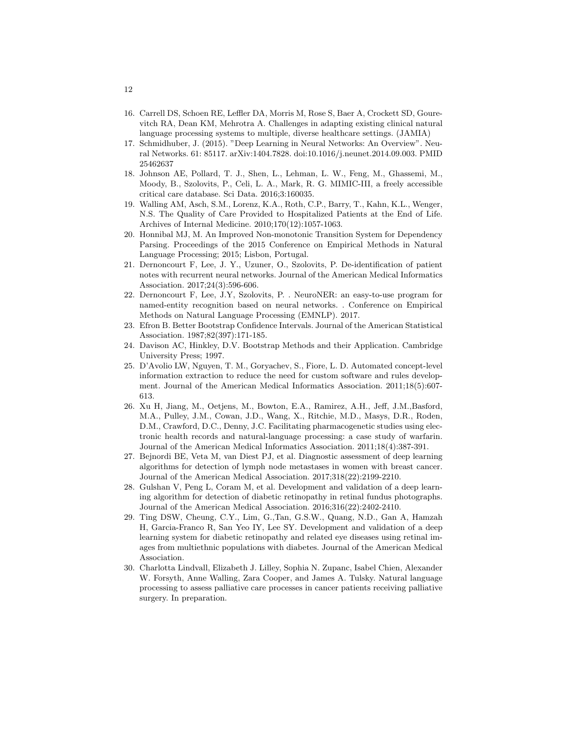- 16. Carrell DS, Schoen RE, Leffler DA, Morris M, Rose S, Baer A, Crockett SD, Gourevitch RA, Dean KM, Mehrotra A. Challenges in adapting existing clinical natural language processing systems to multiple, diverse healthcare settings. (JAMIA)
- 17. Schmidhuber, J. (2015). "Deep Learning in Neural Networks: An Overview". Neural Networks. 61: 85117. arXiv:1404.7828. doi:10.1016/j.neunet.2014.09.003. PMID 25462637
- 18. Johnson AE, Pollard, T. J., Shen, L., Lehman, L. W., Feng, M., Ghassemi, M., Moody, B., Szolovits, P., Celi, L. A., Mark, R. G. MIMIC-III, a freely accessible critical care database. Sci Data. 2016;3:160035.
- 19. Walling AM, Asch, S.M., Lorenz, K.A., Roth, C.P., Barry, T., Kahn, K.L., Wenger, N.S. The Quality of Care Provided to Hospitalized Patients at the End of Life. Archives of Internal Medicine. 2010;170(12):1057-1063.
- 20. Honnibal MJ, M. An Improved Non-monotonic Transition System for Dependency Parsing. Proceedings of the 2015 Conference on Empirical Methods in Natural Language Processing; 2015; Lisbon, Portugal.
- 21. Dernoncourt F, Lee, J. Y., Uzuner, O., Szolovits, P. De-identification of patient notes with recurrent neural networks. Journal of the American Medical Informatics Association. 2017;24(3):596-606.
- 22. Dernoncourt F, Lee, J.Y, Szolovits, P. . NeuroNER: an easy-to-use program for named-entity recognition based on neural networks. . Conference on Empirical Methods on Natural Language Processing (EMNLP). 2017.
- 23. Efron B. Better Bootstrap Confidence Intervals. Journal of the American Statistical Association. 1987;82(397):171-185.
- 24. Davison AC, Hinkley, D.V. Bootstrap Methods and their Application. Cambridge University Press; 1997.
- 25. D'Avolio LW, Nguyen, T. M., Goryachev, S., Fiore, L. D. Automated concept-level information extraction to reduce the need for custom software and rules development. Journal of the American Medical Informatics Association. 2011;18(5):607- 613.
- 26. Xu H, Jiang, M., Oetjens, M., Bowton, E.A., Ramirez, A.H., Jeff, J.M.,Basford, M.A., Pulley, J.M., Cowan, J.D., Wang, X., Ritchie, M.D., Masys, D.R., Roden, D.M., Crawford, D.C., Denny, J.C. Facilitating pharmacogenetic studies using electronic health records and natural-language processing: a case study of warfarin. Journal of the American Medical Informatics Association. 2011;18(4):387-391.
- 27. Bejnordi BE, Veta M, van Diest PJ, et al. Diagnostic assessment of deep learning algorithms for detection of lymph node metastases in women with breast cancer. Journal of the American Medical Association. 2017;318(22):2199-2210.
- 28. Gulshan V, Peng L, Coram M, et al. Development and validation of a deep learning algorithm for detection of diabetic retinopathy in retinal fundus photographs. Journal of the American Medical Association. 2016;316(22):2402-2410.
- 29. Ting DSW, Cheung, C.Y., Lim, G.,Tan, G.S.W., Quang, N.D., Gan A, Hamzah H, Garcia-Franco R, San Yeo IY, Lee SY. Development and validation of a deep learning system for diabetic retinopathy and related eye diseases using retinal images from multiethnic populations with diabetes. Journal of the American Medical Association.
- 30. Charlotta Lindvall, Elizabeth J. Lilley, Sophia N. Zupanc, Isabel Chien, Alexander W. Forsyth, Anne Walling, Zara Cooper, and James A. Tulsky. Natural language processing to assess palliative care processes in cancer patients receiving palliative surgery. In preparation.

12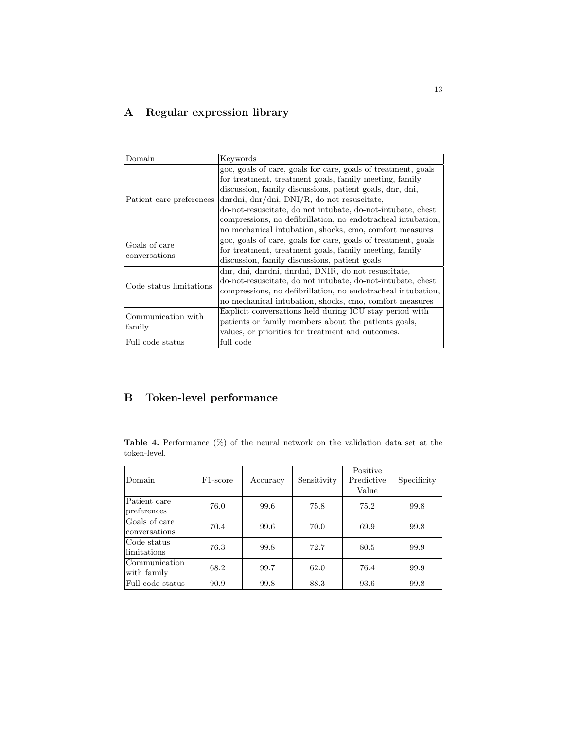## A Regular expression library

| Domain                   | Keywords                                                      |  |  |
|--------------------------|---------------------------------------------------------------|--|--|
|                          | goc, goals of care, goals for care, goals of treatment, goals |  |  |
|                          | for treatment, treatment goals, family meeting, family        |  |  |
|                          | discussion, family discussions, patient goals, dnr, dni,      |  |  |
| Patient care preferences | dnrdni, dnr/dni, $DNI/R$ , do not resuscitate,                |  |  |
|                          | do-not-resuscitate, do not intubate, do-not-intubate, chest   |  |  |
|                          | compressions, no defibrillation, no endotracheal intubation,  |  |  |
|                          | no mechanical intubation, shocks, cmo, comfort measures       |  |  |
| Goals of care            | goc, goals of care, goals for care, goals of treatment, goals |  |  |
|                          | for treatment, treatment goals, family meeting, family        |  |  |
| conversations            | discussion, family discussions, patient goals                 |  |  |
|                          | dnr, dni, dnrdni, dnrdni, DNIR, do not resuscitate,           |  |  |
| Code status limitations  | do-not-resuscitate, do not intubate, do-not-intubate, chest   |  |  |
|                          | compressions, no defibrillation, no endotracheal intubation,  |  |  |
|                          | no mechanical intubation, shocks, cmo, comfort measures       |  |  |
| Communication with       | Explicit conversations held during ICU stay period with       |  |  |
| family                   | patients or family members about the patients goals,          |  |  |
|                          | values, or priorities for treatment and outcomes.             |  |  |
| Full code status         | full code                                                     |  |  |

## B Token-level performance

Table 4. Performance (%) of the neural network on the validation data set at the token-level.

| Domain                         | F <sub>1</sub> -score | Accuracy | Sensitivity | Positive<br>Predictive<br>Value | Specificity |
|--------------------------------|-----------------------|----------|-------------|---------------------------------|-------------|
| Patient care<br>preferences    | 76.0                  | 99.6     | 75.8        | 75.2                            | 99.8        |
| Goals of care<br>conversations | 70.4                  | 99.6     | 70.0        | 69.9                            | 99.8        |
| Code status<br>limitations     | 76.3                  | 99.8     | 72.7        | 80.5                            | 99.9        |
| Communication<br>with family   | 68.2                  | 99.7     | 62.0        | 76.4                            | 99.9        |
| Full code status               | 90.9                  | 99.8     | 88.3        | 93.6                            | 99.8        |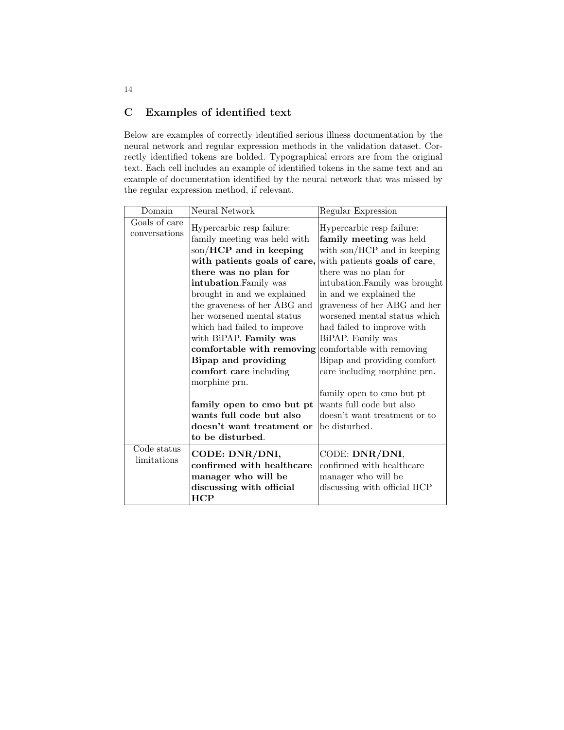## C Examples of identified text

Below are examples of correctly identified serious illness documentation by the neural network and regular expression methods in the validation dataset. Correctly identified tokens are bolded. Typographical errors are from the original text. Each cell includes an example of identified tokens in the same text and an example of documentation identified by the neural network that was missed by the regular expression method, if relevant.

| Domain                         | Neural Network                                            | Regular Expression                                   |  |
|--------------------------------|-----------------------------------------------------------|------------------------------------------------------|--|
| Goals of care<br>conversations | Hypercarbic resp failure:<br>family meeting was held with | Hypercarbic resp failure:<br>family meeting was held |  |
|                                | $\text{son}/\text{HCP}$ and in keeping                    | with son/HCP and in keeping                          |  |
|                                | with patients goals of care,                              | with patients goals of care,                         |  |
|                                | there was no plan for                                     | there was no plan for                                |  |
|                                | intubation. Family was                                    | intubation. Family was brought                       |  |
|                                | brought in and we explained                               | in and we explained the                              |  |
|                                | the graveness of her ABG and                              | graveness of her ABG and her                         |  |
|                                | her worsened mental status                                | worsened mental status which                         |  |
|                                | which had failed to improve                               | had failed to improve with                           |  |
|                                | with BiPAP. Family was                                    | BiPAP. Family was                                    |  |
|                                | comfortable with removing                                 | comfortable with removing                            |  |
|                                | Bipap and providing                                       | Bipap and providing comfort                          |  |
|                                | comfort care including                                    | care including morphine prn.                         |  |
|                                | morphine prn.                                             |                                                      |  |
|                                |                                                           | family open to cmo but pt                            |  |
|                                | family open to cmo but pt                                 | wants full code but also                             |  |
|                                | wants full code but also                                  | doesn't want treatment or to                         |  |
|                                | doesn't want treatment or                                 | be disturbed.                                        |  |
|                                | to be disturbed.                                          |                                                      |  |
| Code status                    | CODE: DNR/DNI,                                            | CODE: DNR/DNI,                                       |  |
| limitations                    | confirmed with healthcare                                 | confirmed with healthcare                            |  |
|                                | manager who will be                                       | manager who will be                                  |  |
|                                | discussing with official                                  | discussing with official HCP                         |  |
|                                | $_{\rm HCP}$                                              |                                                      |  |

14